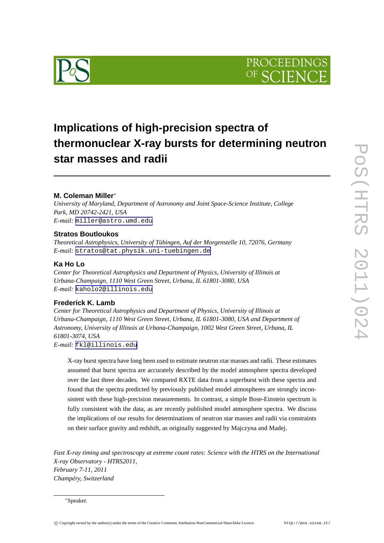



# **Implications of high-precision spectra of thermonuclear X-ray bursts for determining neutron star masses and radii**

# **M. Coleman Miller**<sup>∗</sup>

*University of Maryland, Department of Astronomy and Joint Space-Science Institute, College Park, MD 20742-2421, USA E-mail:* [miller@astro.umd.edu](mailto:miller@astro.umd.edu)

## **Stratos Boutloukos**

*Theoretical Astrophysics, University of Tübingen, Auf der Morgenstelle 10, 72076, Germany E-mail:* [stratos@tat.physik.uni-tuebingen.de](mailto:stratos@tat.physik.uni-tuebingen.de)

# **Ka Ho Lo**

*Center for Theoretical Astrophysics and Department of Physics, University of Illinois at Urbana-Champaign, 1110 West Green Street, Urbana, IL 61801-3080, USA E-mail:* [kaholo2@illinois.edu](mailto:kaholo2@illinois.edu)

# **Frederick K. Lamb**

*Center for Theoretical Astrophysics and Department of Physics, University of Illinois at Urbana-Champaign, 1110 West Green Street, Urbana, IL 61801-3080, USA and Department of Astronomy, University of Illinois at Urbana-Champaign, 1002 West Green Street, Urbana, IL 61801-3074, USA E-mail:* [fkl@illinois.edu](mailto:fkl@illinois.edu)

X-ray burst spectra have long been used to estimate neutron star masses and radii. These estimates assumed that burst spectra are accurately described by the model atmosphere spectra developed over the last three decades. We compared RXTE data from a superburst with these spectra and found that the spectra predicted by previously published model atmospheres are strongly inconsistent with these high-precision measurements. In contrast, a simple Bose-Einstein spectrum is fully consistent with the data, as are recently published model atmosphere spectra. We discuss the implications of our results for determinations of neutron star masses and radii via constraints on their surface gravity and redshift, as originally suggested by Majczyna and Madej.

*Fast X-ray timing and spectroscopy at extreme count rates: Science with the HTRS on the International X-ray Observatory - HTRS2011, February 7-11, 2011 Champéry, Switzerland*

<sup>∗</sup>Speaker.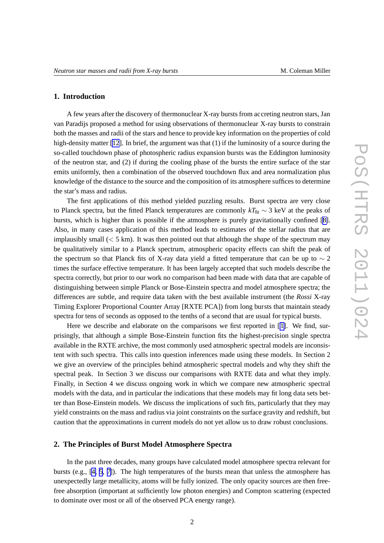#### **1. Introduction**

A few years after the discovery of thermonuclear X-ray bursts from accreting neutron stars, Jan van Paradijs proposed a method for using observations of thermonuclear X-ray bursts to constrain both the masses and radii of the stars and hence to provide key information on the properties of cold high-density matter [\[12\]](#page-7-0). In brief, the argument was that (1) if the luminosity of a source during the so-called touchdown phase of photospheric radius expansion bursts was the Eddington luminosity of the neutron star, and (2) if during the cooling phase of the bursts the entire surface of the star emits uniformly, then a combination of the observed touchdown flux and area normalization plus knowledge of the distance to the source and the composition of its atmosphere suffices to determine the star's mass and radius.

The first applications of this method yielded puzzling results. Burst spectra are very close to Planck spectra, but the fitted Planck temperatures are commonly  $kT_{\text{fit}} \sim 3$  keV at the peaks of bursts, which is higher than is possible if the atmosphere is purely gravitationally confined [\[8\]](#page-7-0). Also, in many cases application of this method leads to estimates of the stellar radius that are implausibly small (< 5 km). It was then pointed out that although the *shape* of the spectrum may be qualitatively similar to a Planck spectrum, atmospheric opacity effects can shift the peak of the spectrum so that Planck fits of X-ray data yield a fitted temperature that can be up to  $\sim$  2 times the surface effective temperature. It has been largely accepted that such models describe the spectra correctly, but prior to our work no comparison had been made with data that are capable of distinguishing between simple Planck or Bose-Einstein spectra and model atmosphere spectra; the differences are subtle, and require data taken with the best available instrument (the *Rossi* X-ray Timing Explorer Proportional Counter Array [RXTE PCA]) from long bursts that maintain steady spectra for tens of seconds as opposed to the tenths of a second that are usual for typical bursts.

Here we describe and elaborate on the comparisons we first reported in [[1\]](#page-7-0). We find, surprisingly, that although a simple Bose-Einstein function fits the highest-precision single spectra available in the RXTE archive, the most commonly used atmospheric spectral models are inconsistent with such spectra. This calls into question inferences made using these models. In Section 2 we give an overview of the principles behind atmospheric spectral models and why they shift the spectral peak. In Section 3 we discuss our comparisons with RXTE data and what they imply. Finally, in Section 4 we discuss ongoing work in which we compare new atmospheric spectral models with the data, and in particular the indications that these models may fit long data sets better than Bose-Einstein models. We discuss the implications of such fits, particularly that they may yield constraints on the mass and radius via joint constraints on the surface gravity and redshift, but caution that the approximations in current models do not yet allow us to draw robust conclusions.

#### **2. The Principles of Burst Model Atmosphere Spectra**

In the past three decades, many groups have calculated model atmosphere spectra relevant for bursts (e.g., [\[4, 5](#page-7-0), [7\]](#page-7-0)). The high temperatures of the bursts mean that unless the atmosphere has unexpectedly large metallicity, atoms will be fully ionized. The only opacity sources are then freefree absorption (important at sufficiently low photon energies) and Compton scattering (expected to dominate over most or all of the observed PCA energy range).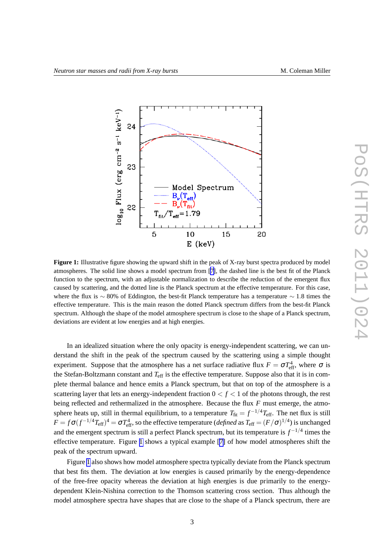

**Figure 1:** Illustrative figure showing the upward shift in the peak of X-ray burst spectra produced by model atmospheres. The solid line shows a model spectrum from [[7\]](#page-7-0), the dashed line is the best fit of the Planck function to the spectrum, with an adjustable normalization to describe the reduction of the emergent flux caused by scattering, and the dotted line is the Planck spectrum at the effective temperature. For this case, where the flux is  $\sim$  80% of Eddington, the best-fit Planck temperature has a temperature  $\sim$  1.8 times the effective temperature. This is the main reason the dotted Planck spectrum differs from the best-fit Planck spectrum. Although the shape of the model atmosphere spectrum is close to the shape of a Planck spectrum, deviations are evident at low energies and at high energies.

In an idealized situation where the only opacity is energy-independent scattering, we can understand the shift in the peak of the spectrum caused by the scattering using a simple thought experiment. Suppose that the atmosphere has a net surface radiative flux  $F = \sigma T_{\text{eff}}^4$ , where  $\sigma$  is the Stefan-Boltzmann constant and *T*eff is the effective temperature. Suppose also that it is in complete thermal balance and hence emits a Planck spectrum, but that on top of the atmosphere is a scattering layer that lets an energy-independent fraction  $0 < f < 1$  of the photons through, the rest being reflected and rethermalized in the atmosphere. Because the flux *F* must emerge, the atmosphere heats up, still in thermal equilibrium, to a temperature  $T_{\text{fit}} = f^{-1/4} T_{\text{eff}}$ . The net flux is still  $F = f\sigma (f^{-1/4}T_{\rm eff})^4 = \sigma T_{\rm eff}^4$ , so the effective temperature (*defined* as  $T_{\rm eff} = (F/\sigma)^{1/4}$ ) is unchanged and the emergent spectrum is still a perfect Planck spectrum, but its temperature is *f* −1/4 times the effective temperature. Figure 1 shows a typical example [\[7\]](#page-7-0) of how model atmospheres shift the peak of the spectrum upward.

Figure 1 also shows how model atmosphere spectra typically deviate from the Planck spectrum that best fits them. The deviation at low energies is caused primarily by the energy-dependence of the free-free opacity whereas the deviation at high energies is due primarily to the energydependent Klein-Nishina correction to the Thomson scattering cross section. Thus although the model atmosphere spectra have shapes that are close to the shape of a Planck spectrum, there are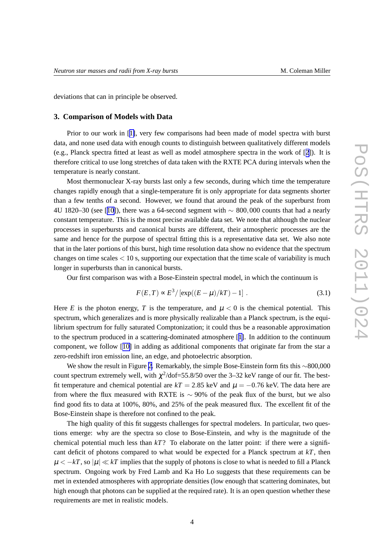deviations that can in principle be observed.

## **3. Comparison of Models with Data**

Prior to our work in [[1\]](#page-7-0), very few comparisons had been made of model spectra with burst data, and none used data with enough counts to distinguish between qualitatively different models (e.g., Planck spectra fitted at least as well as model atmosphere spectra in the work of [[2\]](#page-7-0)). It is therefore critical to use long stretches of data taken with the RXTE PCA during intervals when the temperature is nearly constant.

Most thermonuclear X-ray bursts last only a few seconds, during which time the temperature changes rapidly enough that a single-temperature fit is only appropriate for data segments shorter than a few tenths of a second. However, we found that around the peak of the superburst from 4U 1820–30 (see [[10\]](#page-7-0)), there was a 64-second segment with ∼ 800,000 counts that had a nearly constant temperature. This is the most precise available data set. We note that although the nuclear processes in superbursts and canonical bursts are different, their atmospheric processes are the same and hence for the purpose of spectral fitting this is a representative data set. We also note that in the later portions of this burst, high time resolution data show no evidence that the spectrum changes on time scales  $< 10$  s, supporting our expectation that the time scale of variability is much longer in superbursts than in canonical bursts.

Our first comparison was with a Bose-Einstein spectral model, in which the continuum is

$$
F(E,T) \propto E^3 / [\exp((E-\mu)/kT) - 1] \ . \tag{3.1}
$$

Here *E* is the photon energy, *T* is the temperature, and  $\mu < 0$  is the chemical potential. This spectrum, which generalizes and is more physically realizable than a Planck spectrum, is the equilibrium spectrum for fully saturated Comptonization; it could thus be a reasonable approximation to the spectrum produced in a scattering-dominated atmosphere [[1\]](#page-7-0). In addition to the continuum component, we follow [[10\]](#page-7-0) in adding as additional components that originate far from the star a zero-redshift iron emission line, an edge, and photoelectric absorption.

We show the result in Figure [2](#page-4-0). Remarkably, the simple Bose-Einstein form fits this ∼800,000 count spectrum extremely well, with  $\chi^2$ /dof=55.8/50 over the 3–32 keV range of our fit. The bestfit temperature and chemical potential are  $kT = 2.85$  keV and  $\mu = -0.76$  keV. The data here are from where the flux measured with RXTE is  $\sim$  90% of the peak flux of the burst, but we also find good fits to data at 100%, 80%, and 25% of the peak measured flux. The excellent fit of the Bose-Einstein shape is therefore not confined to the peak.

The high quality of this fit suggests challenges for spectral modelers. In particular, two questions emerge: why are the spectra so close to Bose-Einstein, and why is the magnitude of the chemical potential much less than *kT*? To elaborate on the latter point: if there were a significant deficit of photons compared to what would be expected for a Planck spectrum at *kT*, then  $\mu < -kT$ , so  $|\mu| \ll kT$  implies that the supply of photons is close to what is needed to fill a Planck spectrum. Ongoing work by Fred Lamb and Ka Ho Lo suggests that these requirements can be met in extended atmospheres with appropriate densities (low enough that scattering dominates, but high enough that photons can be supplied at the required rate). It is an open question whether these requirements are met in realistic models.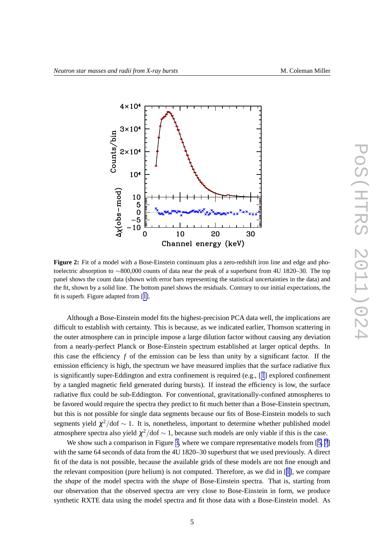<span id="page-4-0"></span>

**Figure 2:** Fit of a model with a Bose-Einstein continuum plus a zero-redshift iron line and edge and photoelectric absorption to ∼800,000 counts of data near the peak of a superburst from 4U 1820–30. The top panel shows the count data (shown with error bars representing the statistical uncertainties in the data) and the fit, shown by a solid line. The bottom panel shows the residuals. Contrary to our initial expectations, the fit is superb. Figure adapted from [[1\]](#page-7-0).

Although a Bose-Einstein model fits the highest-precision PCA data well, the implications are difficult to establish with certainty. This is because, as we indicated earlier, Thomson scattering in the outer atmosphere can in principle impose a large dilution factor without causing any deviation from a nearly-perfect Planck or Bose-Einstein spectrum established at larger optical depths. In this case the efficiency  $f$  of the emission can be less than unity by a significant factor. If the emission efficiency is high, the spectrum we have measured implies that the surface radiative flux is significantly super-Eddington and extra confinement is required (e.g., [[1](#page-7-0)] explored confinement by a tangled magnetic field generated during bursts). If instead the efficiency is low, the surface radiative flux could be sub-Eddington. For conventional, gravitationally-confined atmospheres to be favored would require the spectra they predict to fit much better than a Bose-Einstein spectrum, but this is not possible for single data segments because our fits of Bose-Einstein models to such segments yield  $\chi^2/dof \sim 1$ . It is, nonetheless, important to determine whether published model atmosphere spectra also yield  $\chi^2$ /dof  $\sim$  1, because such models are only viable if this is the case.

We show such a comparison in Figure [3,](#page-5-0) where we compare representative models from [[5, 7](#page-7-0)] with the same 64 seconds of data from the 4U 1820–30 superburst that we used previously. A direct fit of the data is not possible, because the available grids of these models are not fine enough and the relevant composition (pure helium) is not computed. Therefore, as we did in [[1](#page-7-0)], we compare the *shape* of the model spectra with the *shape* of Bose-Einstein spectra. That is, starting from our observation that the observed spectra are very close to Bose-Einstein in form, we produce synthetic RXTE data using the model spectra and fit those data with a Bose-Einstein model. As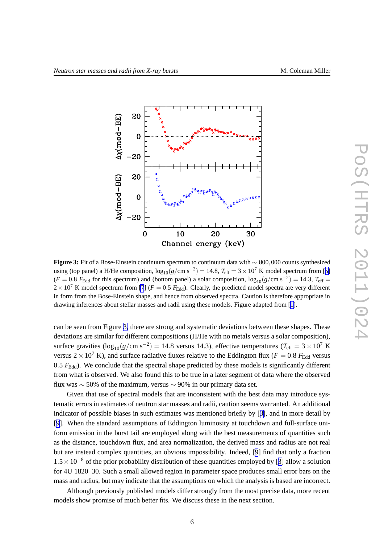<span id="page-5-0"></span>

**Figure 3:** Fit of a Bose-Einstein continuum spectrum to continuum data with ∼ 800,000 counts synthesized using (top panel) a H/He composition,  $\log_{10}(g/cm \text{ s}^{-2}) = 14.8$ ,  $T_{\text{eff}} = 3 \times 10^7 \text{ K}$  model spectrum from [[5\]](#page-7-0)  $(F = 0.8$   $F_{\text{Edd}}$  for this spectrum) and (bottom panel) a solar composition,  $\log_{10}(g/\text{cm s}^{-2}) = 14.3$ ,  $T_{\text{eff}} =$  $2 \times 10^7$  K model spectrum from [\[7](#page-7-0)] ( $F = 0.5$   $F_{\text{Edd}}$ ). Clearly, the predicted model spectra are very different in form from the Bose-Einstein shape, and hence from observed spectra. Caution is therefore appropriate in drawing inferences about stellar masses and radii using these models. Figure adapted from [[1\]](#page-7-0).

can be seen from Figure 3, there are strong and systematic deviations between these shapes. These deviations are similar for different compositions (H/He with no metals versus a solar composition), surface gravities  $(\log_{10}(g/cm s^{-2}) = 14.8$  versus 14.3), effective temperatures ( $T_{\text{eff}} = 3 \times 10^7$  K versus  $2 \times 10^7$  K), and surface radiative fluxes relative to the Eddington flux ( $F = 0.8$   $F_{\text{Edd}}$  versus 0.5  $F_{\text{Edd}}$ ). We conclude that the spectral shape predicted by these models is significantly different from what is observed. We also found this to be true in a later segment of data where the observed flux was  $\sim$  50% of the maximum, versus  $\sim$  90% in our primary data set.

Given that use of spectral models that are inconsistent with the best data may introduce systematic errors in estimates of neutron star masses and radii, caution seems warranted. An additional indicator of possible biases in such estimates was mentioned briefly by [[3\]](#page-7-0), and in more detail by [[9](#page-7-0)]. When the standard assumptions of Eddington luminosity at touchdown and full-surface uniform emission in the burst tail are employed along with the best measurements of quantities such as the distance, touchdown flux, and area normalization, the derived mass and radius are not real but are instead complex quantities, an obvious impossibility. Indeed, [[9](#page-7-0)] find that only a fraction  $1.5 \times 10^{-8}$  of the prior probability distribution of these quantities employed by [[3\]](#page-7-0) allow a solution for 4U 1820–30. Such a small allowed region in parameter space produces small error bars on the mass and radius, but may indicate that the assumptions on which the analysis is based are incorrect.

Although previously published models differ strongly from the most precise data, more recent models show promise of much better fits. We discuss these in the next section.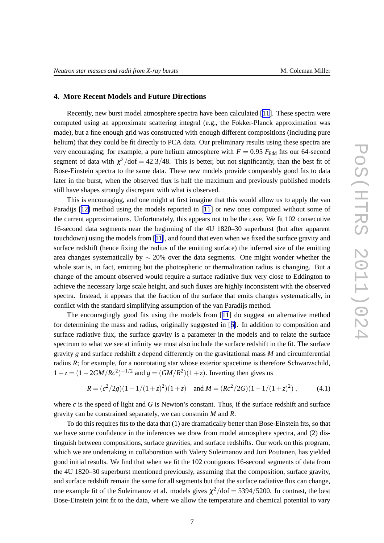## **4. More Recent Models and Future Directions**

Recently, new burst model atmosphere spectra have been calculated [[11\]](#page-7-0). These spectra were computed using an approximate scattering integral (e.g., the Fokker-Planck approximation was made), but a fine enough grid was constructed with enough different compositions (including pure helium) that they could be fit directly to PCA data. Our preliminary results using these spectra are very encouraging; for example, a pure helium atmosphere with  $F = 0.95$   $F_{\text{Edd}}$  fits our 64-second segment of data with  $\chi^2$ /dof = 42.3/48. This is better, but not significantly, than the best fit of Bose-Einstein spectra to the same data. These new models provide comparably good fits to data later in the burst, when the observed flux is half the maximum and previously published models still have shapes strongly discrepant with what is observed.

This is encouraging, and one might at first imagine that this would allow us to apply the van Paradijs [[12\]](#page-7-0) method using the models reported in [[11\]](#page-7-0) or new ones computed without some of the current approximations. Unfortunately, this appears not to be the case. We fit 102 consecutive 16-second data segments near the beginning of the 4U 1820–30 superburst (but after apparent touchdown) using the models from [[11\]](#page-7-0), and found that even when we fixed the surface gravity and surface redshift (hence fixing the radius of the emitting surface) the inferred size of the emitting area changes systematically by  $\sim$  20% over the data segments. One might wonder whether the whole star is, in fact, emitting but the photospheric or thermalization radius is changing. But a change of the amount observed would require a surface radiative flux very close to Eddington to achieve the necessary large scale height, and such fluxes are highly inconsistent with the observed spectra. Instead, it appears that the fraction of the surface that emits changes systematically, in conflict with the standard simplifying assumption of the van Paradijs method.

The encouragingly good fits using the models from [[11](#page-7-0)] do suggest an alternative method for determining the mass and radius, originally suggested in [[6\]](#page-7-0). In addition to composition and surface radiative flux, the surface gravity is a parameter in the models and to relate the surface spectrum to what we see at infinity we must also include the surface redshift in the fit. The surface gravity *g* and surface redshift *z* depend differently on the gravitational mass *M* and circumferential radius *R*; for example, for a nonrotating star whose exterior spacetime is therefore Schwarzschild,  $1+z = (1 - 2GM/Rc^2)^{-1/2}$  and  $g = (GM/R^2)(1+z)$ . Inverting then gives us

$$
R = (c^2/2g)(1 - 1/(1+z)^2)(1+z) \quad \text{and } M = (Rc^2/2G)(1 - 1/(1+z)^2) ,\tag{4.1}
$$

where  $c$  is the speed of light and  $G$  is Newton's constant. Thus, if the surface redshift and surface gravity can be constrained separately, we can constrain *M* and *R*.

To do this requires fits to the data that (1) are dramatically better than Bose-Einstein fits, so that we have some confidence in the inferences we draw from model atmosphere spectra, and (2) distinguish between compositions, surface gravities, and surface redshifts. Our work on this program, which we are undertaking in collaboration with Valery Suleimanov and Juri Poutanen, has yielded good initial results. We find that when we fit the 102 contiguous 16-second segments of data from the 4U 1820–30 superburst mentioned previously, assuming that the composition, surface gravity, and surface redshift remain the same for all segments but that the surface radiative flux can change, one example fit of the Suleimanov et al. models gives  $\chi^2/dof = 5394/5200$ . In contrast, the best Bose-Einstein joint fit to the data, where we allow the temperature and chemical potential to vary